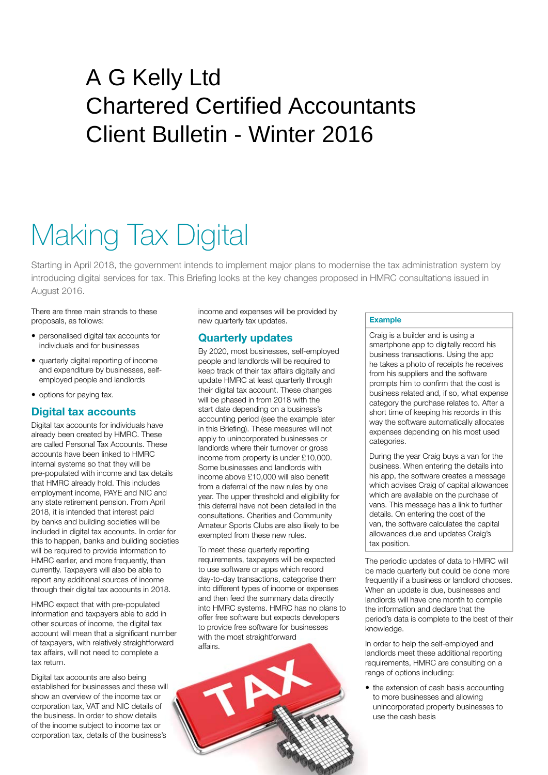# A G Kelly Ltd Chartered Certified Accountants Client Bulletin - Winter 2016

# Making Tax Digital

Starting in April 2018, the government intends to implement major plans to modernise the tax administration system by introducing digital services for tax. This Briefing looks at the key changes proposed in HMRC consultations issued in August 2016.

There are three main strands to these proposals, as follows:

- personalised digital tax accounts for individuals and for businesses
- quarterly digital reporting of income and expenditure by businesses, selfemployed people and landlords
- options for paying tax.

# **Digital tax accounts**

Digital tax accounts for individuals have already been created by HMRC. These are called Personal Tax Accounts. These accounts have been linked to HMRC internal systems so that they will be pre-populated with income and tax details that HMRC already hold. This includes employment income, PAYE and NIC and any state retirement pension. From April 2018, it is intended that interest paid by banks and building societies will be included in digital tax accounts. In order for this to happen, banks and building societies will be required to provide information to HMRC earlier, and more frequently, than currently. Taxpayers will also be able to report any additional sources of income through their digital tax accounts in 2018.

HMRC expect that with pre-populated information and taxpayers able to add in other sources of income, the digital tax account will mean that a significant number of taxpayers, with relatively straightforward tax affairs, will not need to complete a tax return.

Digital tax accounts are also being established for businesses and these will show an overview of the income tax or corporation tax, VAT and NIC details of the business. In order to show details of the income subject to income tax or corporation tax, details of the business's income and expenses will be provided by new quarterly tax updates.

### **Quarterly updates**

By 2020, most businesses, self-employed people and landlords will be required to keep track of their tax affairs digitally and update HMRC at least quarterly through their digital tax account. These changes will be phased in from 2018 with the start date depending on a business's accounting period (see the example later in this Briefing). These measures will not apply to unincorporated businesses or landlords where their turnover or gross income from property is under £10,000. Some businesses and landlords with income above £10,000 will also benefit from a deferral of the new rules by one year. The upper threshold and eligibility for this deferral have not been detailed in the consultations. Charities and Community Amateur Sports Clubs are also likely to be exempted from these new rules.

To meet these quarterly reporting requirements, taxpayers will be expected to use software or apps which record day-to-day transactions, categorise them into different types of income or expenses and then feed the summary data directly into HMRC systems. HMRC has no plans to offer free software but expects developers to provide free software for businesses with the most straightforward affairs.



#### **Example**

Craig is a builder and is using a smartphone app to digitally record his business transactions. Using the app he takes a photo of receipts he receives from his suppliers and the software prompts him to confirm that the cost is business related and, if so, what expense category the purchase relates to. After a short time of keeping his records in this way the software automatically allocates expenses depending on his most used categories.

During the year Craig buys a van for the business. When entering the details into his app, the software creates a message which advises Craig of capital allowances which are available on the purchase of vans. This message has a link to further details. On entering the cost of the van, the software calculates the capital allowances due and updates Craig's tax position.

The periodic updates of data to HMRC will be made quarterly but could be done more frequently if a business or landlord chooses. When an update is due, businesses and landlords will have one month to compile the information and declare that the period's data is complete to the best of their knowledge.

In order to help the self-employed and landlords meet these additional reporting requirements, HMRC are consulting on a range of options including:

• the extension of cash basis accounting to more businesses and allowing unincorporated property businesses to use the cash basis